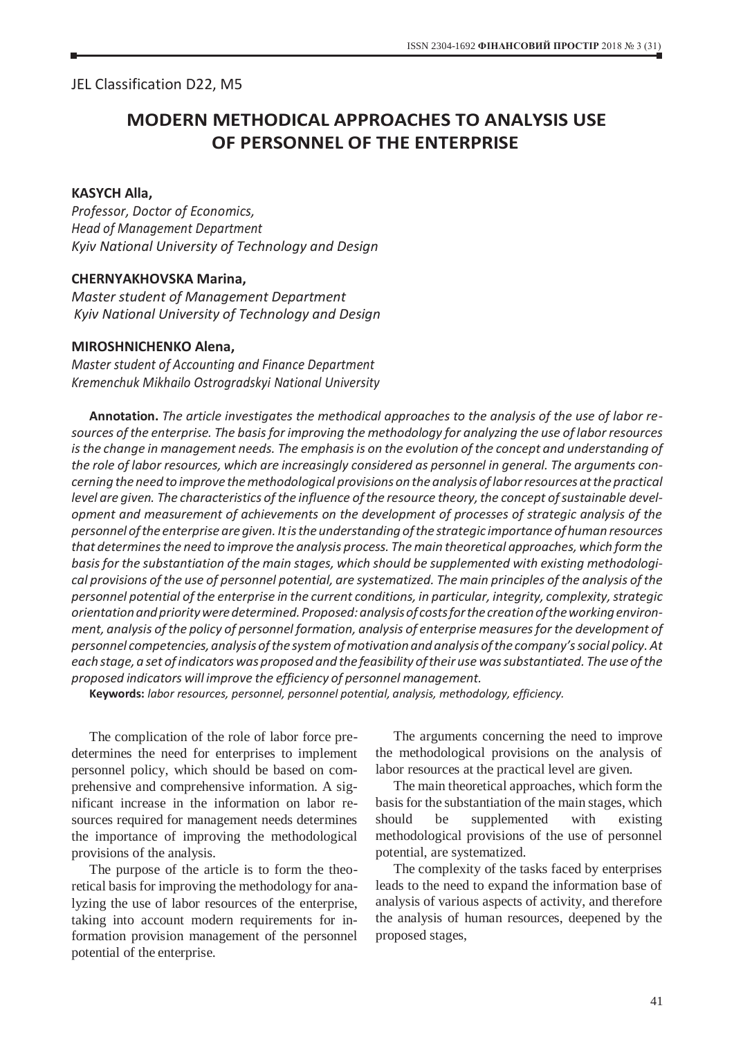JEL Classіfіcatіon D22, М5

# **MODERN METHODICAL APPROACHES TO ANALYSIS USE OF PERSONNEL OF THE ENTERPRISE**

#### **KASYCH Alla,**

*Professor, Doctor of Economics, Head of Management Department Kyiv National University of Technology and Design*

### **CHERNYAKHOVSKA Marina,**

*Master student of Management Department Kyiv National University of Technology and Design*

#### **MIROSHNICHENKO Alena,**

*Master student of Accounting and Finance Department Kremenchuk Mikhailo Ostrogradskyi National University*

**Annotation.** *The article investigates the methodical approaches to the analysis of the use of labor resources of the enterprise. The basisfor improving the methodology for analyzing the use of labor resources isthe change in management needs. The emphasisis on the evolution of the concept and understanding of the role of labor resources, which are increasingly considered as personnel in general. The arguments concerning the need to improve themethodological provisions on the analysis oflaborresources atthe practical level are given. The characteristics of the influence ofthe resource theory,the concept ofsustainable development and measurement of achievements on the development of processes of strategic analysis of the personnel ofthe enterprise are given. Itisthe understanding ofthe strategic importance of human resources that determinesthe need to improve the analysis process. Themain theoretical approaches, which formthe basis for the substantiation of the main stages, which should be supplemented with existing methodologi*cal provisions of the use of personnel potential, are systematized. The main principles of the analysis of the *personnel potential of the enterprise in the current conditions, in particular, integrity, complexity,strategic orientationandpriorityweredetermined.Proposed:analysisof costsforthecreationoftheworkingenvironment, analysis of the policy of personnel formation, analysis of enterprise measuresfor the development of personnel competencies,analysis ofthe systemofmotivation and analysis ofthe company'ssocial policy. At each stage,a set ofindicatorswas proposed and the feasibility oftheir use wassubstantiated. The use ofthe proposed indicators will improve the efficiency of personnel management.*

**Keywords:** *labor resources, personnel, personnel potential, analysis, methodology, efficiency.*

The complication of the role of labor force predetermines the need for enterprises to implement personnel policy, which should be based on comprehensive and comprehensive information. A significant increase in the information on labor resources required for management needs determines the importance of improving the methodological provisions of the analysis.

The purpose of the article is to form the theoretical basis for improving the methodology for analyzing the use of labor resources of the enterprise, taking into account modern requirements for information provision management of the personnel potential of the enterprise.

The arguments concerning the need to improve the methodological provisions on the analysis of labor resources at the practical level are given.

The main theoretical approaches, which form the basis for the substantiation of the main stages, which should be supplemented with existing methodological provisions of the use of personnel potential, are systematized.

The complexity of the tasks faced by enterprises leads to the need to expand the information base of analysis of various aspects of activity, and therefore the analysis of human resources, deepened by the proposed stages,